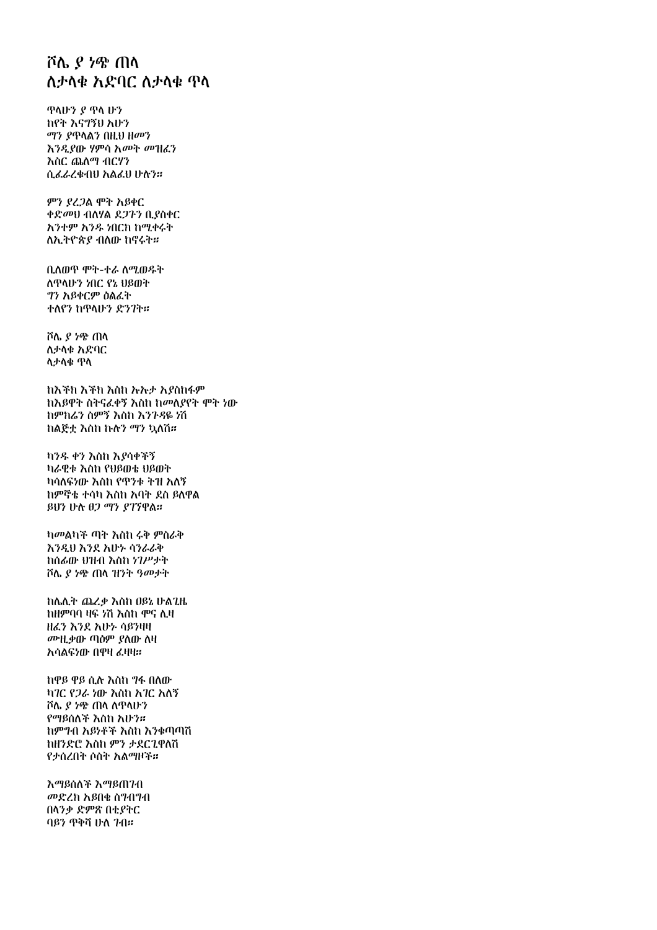## ሾሌ ያ ነጭ ጠላ ለታላቁ አድባር ለታላቁ ዋላ

ዋላሁን ያ ዋላ ሁን ከየት እናግኝህ አሁን *ጣን ያ*ጥላልን በዚህ ዘመን እንዲያው ሃምሳ አመት መዝፈን እስር ጨለማ ብርሃን ሲፌራረቁብህ አልፌህ ሁሉን።

ምን ያረጋል ሞት አይቀር ቀድመህ ብለሃል ደጋጉን ቢያስቀር አንተም አንዱ ነበርክ ከሚቀሩት ለኢትዮጵያ ብለው ከኖሩት።

ቢለወዋ ሞት-ተራ ለሚወዱት ለዋላሁን ነበር የኔ ህይወት ግን አይቀርም ዕልፈት ተለየን ከዋላሁን ድንገት።

ሾሌ ያ ነጭ ጠላ ለታላቁ አድባር ለታላቁ ጥላ

ከእችክ እችክ እስከ ኡኡታ አያስከፋም ከእይዋት ስትናፈቀኝ እስከ ከመለያየት ሞት ነው ከምክሬን ስምኝ እስከ እንጉዳዬ ነሽ ከልጅቷ እስከ ኩሉን ማን ኳለሽ።

ከንዱ ቀን እስከ እየሳቀችኝ ካራዊቱ እስከ የሀይመቱ ሀይመት ካሳለፍነው እስከ የጥንቱ ትዝ አለኝ ከምኞቴ ተሳካ እስከ አባት ደስ ይለዋል ይህን ሁሉ ፀጋ ማን ያገኘዋል።

ካመልካች ጣት እስከ ሩቅ ምስራቅ እንዲህ እንደ እሁኑ ሳንራራቅ ከሰፊው ሀዝብ እስከ ነገሥታት ሾሌ ያ ነቄ ጠላ ዝንት ዓመታት

ከሌሊት ጨረቃ እስከ ዐይኔ ሁልጊዜ ከዘምባባ ዛፍ ሃሽ እስከ ሞና ሊዛ ዘፈን እንደ አሁኑ ሳይንዛዛ መዝ ቃው ጣዕም ያለው ለዛ አሳልፍነው በዋዛ ፈዛዛ።

ከዋይ ዋይ ሲሉ እስከ ግፋ በለው ካገር የጋራ ነው እስከ አገር አለኝ ሾሌ ያ ነቄ ጠላ ለዋላሁን የማይሰለች እስከ አሁን። ከምግብ አይነቶች እስከ እንቁጣጣሽ ከዘንድሮ እስከ ምን ታደርጊዋለሽ የታሰረበት ሶስት አልማዞች።

እማይሰለች እማይጠገብ መድረክ አይበቁ ስግብግብ በላንቃ ድምጽ በቲያትር ባይን ጥቅሻ ሁለ 7ብ።